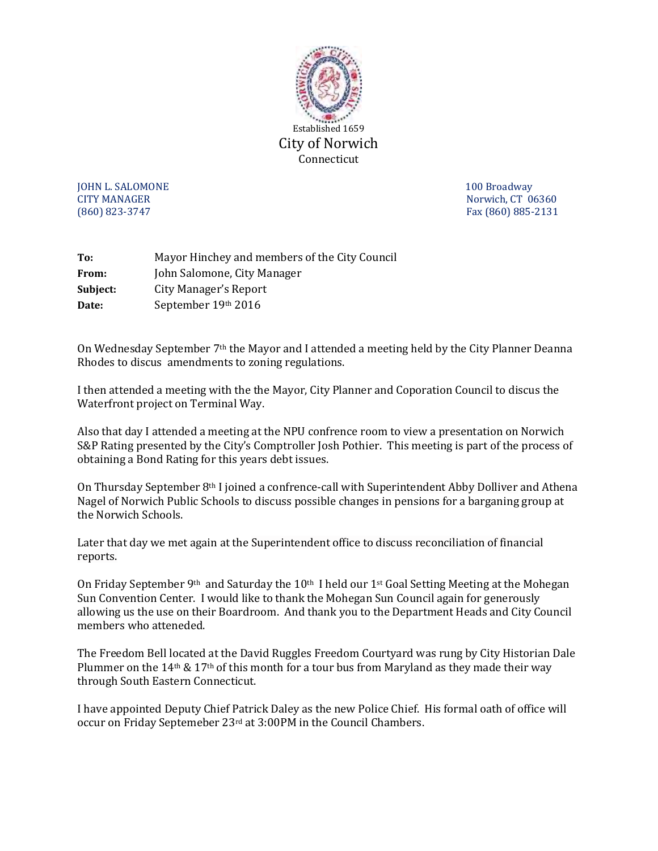

**JOHN L. SALOMONE** 2008 **100 Broadway** CITY MANAGER Norwich, CT 06360 (860) 823-3747 Fax (860) 885-2131

| To:      | Mayor Hinchey and members of the City Council |
|----------|-----------------------------------------------|
| From:    | John Salomone, City Manager                   |
| Subject: | City Manager's Report                         |
| Date:    | September 19th 2016                           |

On Wednesday September 7th the Mayor and I attended a meeting held by the City Planner Deanna Rhodes to discus amendments to zoning regulations.

I then attended a meeting with the the Mayor, City Planner and Coporation Council to discus the Waterfront project on Terminal Way.

Also that day I attended a meeting at the NPU confrence room to view a presentation on Norwich S&P Rating presented by the City's Comptroller Josh Pothier. This meeting is part of the process of obtaining a Bond Rating for this years debt issues.

On Thursday September 8th I joined a confrence-call with Superintendent Abby Dolliver and Athena Nagel of Norwich Public Schools to discuss possible changes in pensions for a barganing group at the Norwich Schools.

Later that day we met again at the Superintendent office to discuss reconciliation of financial reports.

On Friday September 9<sup>th</sup> and Saturday the 10<sup>th</sup> I held our 1<sup>st</sup> Goal Setting Meeting at the Mohegan Sun Convention Center. I would like to thank the Mohegan Sun Council again for generously allowing us the use on their Boardroom. And thank you to the Department Heads and City Council members who atteneded.

The Freedom Bell located at the David Ruggles Freedom Courtyard was rung by City Historian Dale Plummer on the 14<sup>th</sup> & 17<sup>th</sup> of this month for a tour bus from Maryland as they made their way through South Eastern Connecticut.

I have appointed Deputy Chief Patrick Daley as the new Police Chief. His formal oath of office will occur on Friday Septemeber 23rd at 3:00PM in the Council Chambers.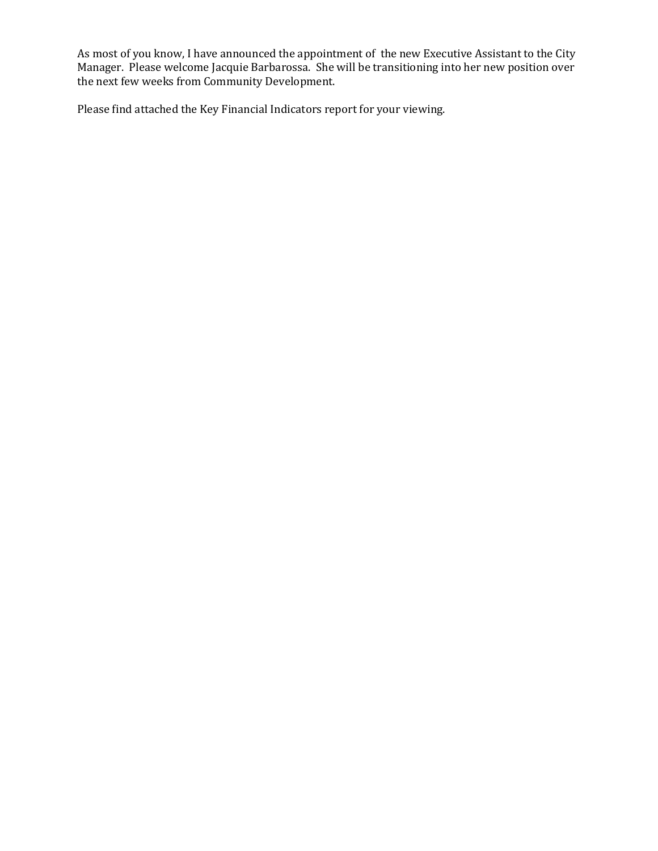As most of you know, I have announced the appointment of the new Executive Assistant to the City Manager. Please welcome Jacquie Barbarossa. She will be transitioning into her new position over the next few weeks from Community Development.

Please find attached the Key Financial Indicators report for your viewing.